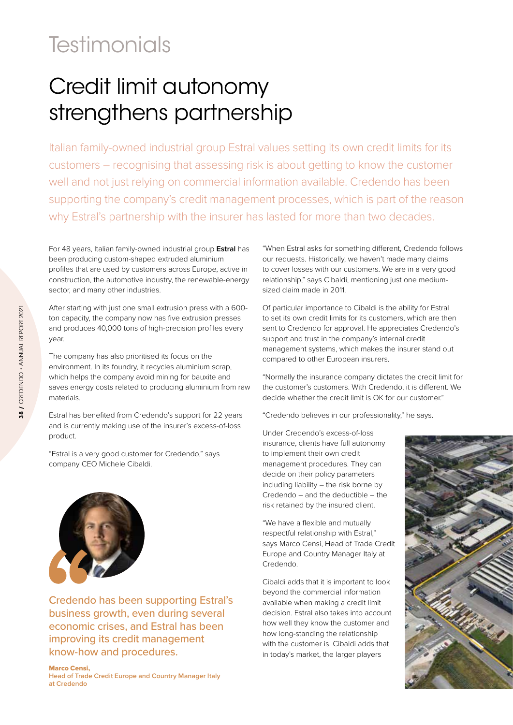## **Testimonials**

## Credit limit autonomy strengthens partnership

Italian family-owned industrial group Estral values setting its own credit limits for its customers – recognising that assessing risk is about getting to know the customer well and not just relying on commercial information available. Credendo has been supporting the company's credit management processes, which is part of the reason why Estral's partnership with the insurer has lasted for more than two decades.

For 48 years, Italian family-owned industrial group **Estral** has been producing custom-shaped extruded aluminium profiles that are used by customers across Europe, active in construction, the automotive industry, the renewable-energy sector, and many other industries.

After starting with just one small extrusion press with a 600 ton capacity, the company now has five extrusion presses and produces 40,000 tons of high-precision profiles every year.

The company has also prioritised its focus on the environment. In its foundry, it recycles aluminium scrap, which helps the company avoid mining for bauxite and saves energy costs related to producing aluminium from raw materials.

Estral has benefited from Credendo's support for 22 years and is currently making use of the insurer's excess-of-loss product.

"Estral is a very good customer for Credendo," says company CEO Michele Cibaldi.



Credendo has been supporting Estral's business growth, even during several economic crises, and Estral has been improving its credit management know-how and procedures.

## Marco Censi,

**Head of Trade Credit Europe and Country Manager Italy at Credendo**

"When Estral asks for something different, Credendo follows our requests. Historically, we haven't made many claims to cover losses with our customers. We are in a very good relationship," says Cibaldi, mentioning just one mediumsized claim made in 2011.

Of particular importance to Cibaldi is the ability for Estral to set its own credit limits for its customers, which are then sent to Credendo for approval. He appreciates Credendo's support and trust in the company's internal credit management systems, which makes the insurer stand out compared to other European insurers.

"Normally the insurance company dictates the credit limit for the customer's customers. With Credendo, it is different. We decide whether the credit limit is OK for our customer."

"Credendo believes in our professionality," he says.

Under Credendo's excess-of-loss insurance, clients have full autonomy to implement their own credit management procedures. They can decide on their policy parameters including liability – the risk borne by Credendo – and the deductible – the risk retained by the insured client.

"We have a flexible and mutually respectful relationship with Estral," says Marco Censi, Head of Trade Credit Europe and Country Manager Italy at Credendo.

Cibaldi adds that it is important to look beyond the commercial information available when making a credit limit decision. Estral also takes into account how well they know the customer and how long-standing the relationship with the customer is. Cibaldi adds that in today's market, the larger players